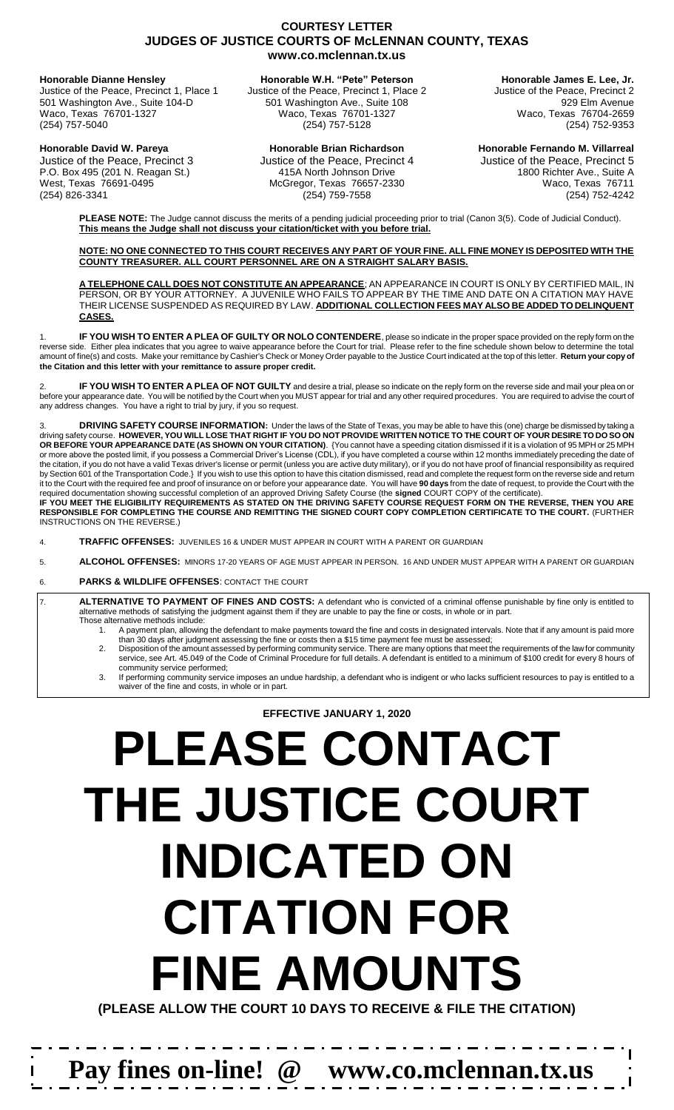# **COURTESY LETTER JUDGES OF JUSTICE COURTS OF McLENNAN COUNTY, TEXAS www.co.mclennan.tx.us**

501 Washington Ave., Suite 104-D 501 Washington Ave., Suite 108 501 Washington Avenue Waco, Texas 76701-1327 Waco, Texas 76701-1327 Waco, Texas 76704-2659

**Honorable Dianne Hensley Honorable W.H. "Pete" Peterson Honorable James E. Lee, Jr.** Justice of the Peace, Precinct 1, Place 1 Justice of the Peace, Precinct 1, Place 2 Justice of the Peace, Precinct 2

(254) 752-9353

**Honorable David W. Pareya Honorable Brian Richardson Honorable Fernando M. Villarreal** Justice of the Peace, Precinct 3 Justice of the Peace, Precinct 4 Justice of the Peace, Precinct 5 P.O. Box 495 (201 N. Reagan St.) 415A North Johnson Drive 1800 Richter Ave., Suite A West, Texas 76691-0495 McGregor, Texas 76657-2330 Waco, Texas 76711 (254) 826-3341 (254) 759-7558 (254) 752-4242

 $\mathbf{I}$ 

**PLEASE NOTE:** The Judge cannot discuss the merits of a pending judicial proceeding prior to trial (Canon 3(5). Code of Judicial Conduct). **This means the Judge shall not discuss your citation/ticket with you before trial.**

**NO ONE CONNECTED TO THIS COURT RECEIVES ANY PART OF YOUR FINE. ALL FINE MONEY IS DEPOSITED WITH THE COUNTY TREASURER. ALL COURT PERSONNEL ARE ON A STRAIGHT SALARY BASIS.**

**A TELEPHONE CALL DOES NOT CONSTITUTE AN APPEARANCE**; AN APPEARANCE IN COURT IS ONLY BY CERTIFIED MAIL, IN PERSON, OR BY YOUR ATTORNEY. A JUVENILE WHO FAILS TO APPEAR BY THE TIME AND DATE ON A CITATION MAY HAVE THEIR LICENSE SUSPENDED AS REQUIRED BY LAW. **ADDITIONAL COLLECTION FEES MAY ALSO BE ADDED TO DELINQUENT CASES.**

1. **IF YOU WISH TO ENTER A PLEA OF GUILTY OR NOLO CONTENDERE**, please so indicate in the proper space provided on the reply form on the reverse side. Either plea indicates that you agree to waive appearance before the Court for trial. Please refer to the fine schedule shown below to determine the total amount of fine(s) and costs. Make your remittance by Cashier's Check or Money Order payable to the Justice Court indicated at the top of this letter. **Return your copy of the Citation and this letter with your remittance to assure proper credit.**

2. **IF YOU WISH TO ENTER A PLEA OF NOT GUILTY** and desire a trial, please so indicate on the reply form on the reverse side and mail your plea on or before your appearance date. You will be notified by the Court when you MUST appear for trial and any other required procedures. You are required to advise the court of any address changes. You have a right to trial by jury, if you so request.

3. **DRIVING SAFETY COURSE INFORMATION:** Under the laws of the State of Texas, you may be able to have this (one) charge be dismissed by taking a driving safety course. **HOWEVER, YOU WILL LOSE THAT RIGHT IF YOU DO NOT PROVIDE WRITTEN NOTICE TO THE COURT OF YOUR DESIRE TO DO SO ON OR BEFORE YOUR APPEARANCE DATE (AS SHOWN ON YOUR CITATION)**. {You cannot have a speeding citation dismissed if it is a violation of 95 MPH or 25 MPH or more above the posted limit, if you possess a Commercial Driver's License (CDL), if you have completed a course within 12 months immediately preceding the date of the citation, if you do not have a valid Texas driver's license or permit (unless you are active duty military), or if you do not have proof of financial responsibility as required by Section 601 of the Transportation Code.} If you wish to use this option to have this citation dismissed, read and complete the request form on the reverse side and return it to the Court with the required fee and proof of insurance on or before your appearance date. You will have **90 days** from the date of request, to provide the Court with the required documentation showing successful completion of an approved Driving Safety Course (the **signed** COURT COPY of the certificate). **IF YOU MEET THE ELIGIBILITY REQUIREMENTS AS STATED ON THE DRIVING SAFETY COURSE REQUEST FORM ON THE REVERSE, THEN YOU ARE RESPONSIBLE FOR COMPLETING THE COURSE AND REMITTING THE SIGNED COURT COPY COMPLETION CERTIFICATE TO THE COURT.** (FURTHER

INSTRUCTIONS ON THE REVERSE.) 4. **TRAFFIC OFFENSES:** JUVENILES 16 & UNDER MUST APPEAR IN COURT WITH A PARENT OR GUARDIAN

5. **ALCOHOL OFFENSES:** MINORS 17-20 YEARS OF AGE MUST APPEAR IN PERSON. 16 AND UNDER MUST APPEAR WITH A PARENT OR GUARDIAN

## 6. **PARKS & WILDLIFE OFFENSES**: CONTACT THE COURT

7. **ALTERNATIVE TO PAYMENT OF FINES AND COSTS:** A defendant who is convicted of a criminal offense punishable by fine only is entitled to alternative methods of satisfying the judgment against them if they are unable to pay the fine or costs, in whole or in part. Those alternative methods include:

- 1. A payment plan, allowing the defendant to make payments toward the fine and costs in designated intervals. Note that if any amount is paid more than 30 days after judgment assessing the fine or costs then a \$15 time payment fee must be assessed;
- 2. Disposition of the amount assessed by performing community service. There are many options that meet the requirements of the law for community service, see Art. 45.049 of the Code of Criminal Procedure for full details. A defendant is entitled to a minimum of \$100 credit for every 8 hours of community service performed;
- 3. If performing community service imposes an undue hardship, a defendant who is indigent or who lacks sufficient resources to pay is entitled to a waiver of the fine and costs, in whole or in part.

**EFFECTIVE JANUARY 1, 2020**

# **PLEASE CONTACT THE JUSTICE COURT INDICATED ON CITATION FOR FINE AMOUNTS**

**(PLEASE ALLOW THE COURT 10 DAYS TO RECEIVE & FILE THE CITATION)**